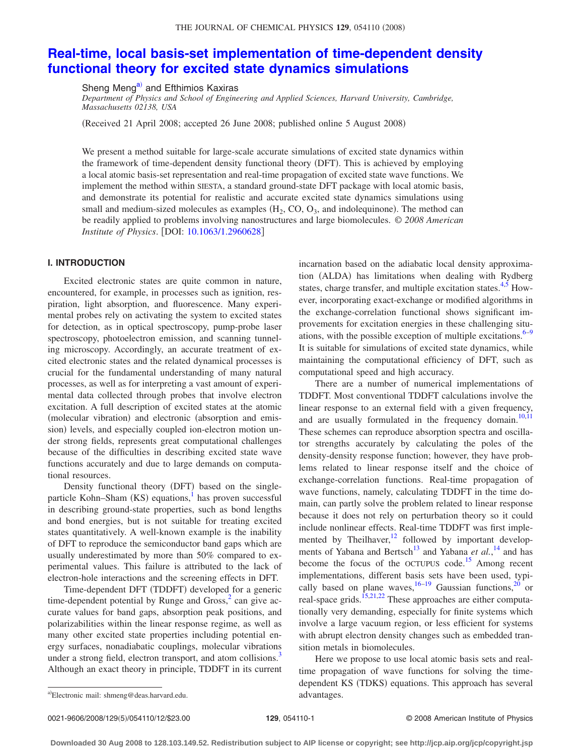# THE JOURNAL OF CHEMICAL PHYSICS 129, 054110 (2008)

# **[Real-time, local basis-set implementation of time-dependent density](http://dx.doi.org/10.1063/1.2960628) [functional theory for excited state dynamics simulations](http://dx.doi.org/10.1063/1.2960628)**

Sheng Meng<sup>a)</sup> and Efthimios Kaxiras

*Department of Physics and School of Engineering and Applied Sciences, Harvard University, Cambridge, Massachusetts 02138, USA*

Received 21 April 2008; accepted 26 June 2008; published online 5 August 2008-

We present a method suitable for large-scale accurate simulations of excited state dynamics within the framework of time-dependent density functional theory (DFT). This is achieved by employing a local atomic basis-set representation and real-time propagation of excited state wave functions. We implement the method within SIESTA, a standard ground-state DFT package with local atomic basis, and demonstrate its potential for realistic and accurate excited state dynamics simulations using small and medium-sized molecules as examples  $(H_2, CO, O_3)$ , and indolequinone). The method can be readily applied to problems involving nanostructures and large biomolecules. © *2008 American Institute of Physics.* [DOI: [10.1063/1.2960628](http://dx.doi.org/10.1063/1.2960628)]

# **I. INTRODUCTION**

Excited electronic states are quite common in nature, encountered, for example, in processes such as ignition, respiration, light absorption, and fluorescence. Many experimental probes rely on activating the system to excited states for detection, as in optical spectroscopy, pump-probe laser spectroscopy, photoelectron emission, and scanning tunneling microscopy. Accordingly, an accurate treatment of excited electronic states and the related dynamical processes is crucial for the fundamental understanding of many natural processes, as well as for interpreting a vast amount of experimental data collected through probes that involve electron excitation. A full description of excited states at the atomic (molecular vibration) and electronic (absorption and emission) levels, and especially coupled ion-electron motion under strong fields, represents great computational challenges because of the difficulties in describing excited state wave functions accurately and due to large demands on computational resources.

Density functional theory (DFT) based on the singleparticle Kohn–Sham (KS) equations,<sup>1</sup> has proven successful in describing ground-state properties, such as bond lengths and bond energies, but is not suitable for treating excited states quantitatively. A well-known example is the inability of DFT to reproduce the semiconductor band gaps which are usually underestimated by more than 50% compared to experimental values. This failure is attributed to the lack of electron-hole interactions and the screening effects in DFT.

Time-dependent DFT (TDDFT) developed for a generic time-dependent potential by Runge and  $Gross<sub>1</sub><sup>2</sup>$  can give accurate values for band gaps, absorption peak positions, and polarizabilities within the linear response regime, as well as many other excited state properties including potential energy surfaces, nonadiabatic couplings, molecular vibrations under a strong field, electron transport, and atom collisions.<sup>3</sup> Although an exact theory in principle, TDDFT in its current incarnation based on the adiabatic local density approximation (ALDA) has limitations when dealing with Rydberg states, charge transfer, and multiple excitation states. $4.5$  However, incorporating exact-exchange or modified algorithms in the exchange-correlation functional shows significant improvements for excitation energies in these challenging situations, with the possible exception of multiple excitations. $6-9$ It is suitable for simulations of excited state dynamics, while maintaining the computational efficiency of DFT, such as computational speed and high accuracy.

There are a number of numerical implementations of TDDFT. Most conventional TDDFT calculations involve the linear response to an external field with a given frequency, and are usually formulated in the frequency domain.<sup>10[,11](#page-10-8)</sup> These schemes can reproduce absorption spectra and oscillator strengths accurately by calculating the poles of the density-density response function; however, they have problems related to linear response itself and the choice of exchange-correlation functions. Real-time propagation of wave functions, namely, calculating TDDFT in the time domain, can partly solve the problem related to linear response because it does not rely on perturbation theory so it could include nonlinear effects. Real-time TDDFT was first implemented by Theilhaver, $12$  followed by important developments of Yabana and Bertsch<sup>13</sup> and Yabana *et al.*,<sup>[14](#page-10-11)</sup> and has become the focus of the OCTUPUS code.<sup>15</sup> Among recent implementations, different basis sets have been used, typically based on plane waves,  $16-19$  Gaussian functions,  $20$  or real-space grids.<sup>15[,21,](#page-10-16)[22](#page-10-17)</sup> These approaches are either computationally very demanding, especially for finite systems which involve a large vacuum region, or less efficient for systems with abrupt electron density changes such as embedded transition metals in biomolecules.

Here we propose to use local atomic basis sets and realtime propagation of wave functions for solving the timedependent KS (TDKS) equations. This approach has several

<span id="page-0-0"></span>a)Electronic mail: shmeng@deas.harvard.edu. and advantages.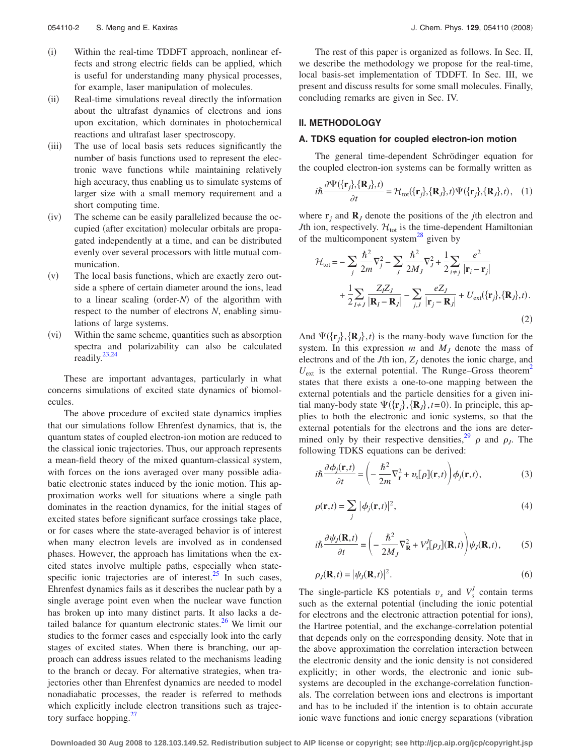- $(i)$  Within the real-time TDDFT approach, nonlinear effects and strong electric fields can be applied, which is useful for understanding many physical processes, for example, laser manipulation of molecules.
- $(ii)$  Real-time simulations reveal directly the information about the ultrafast dynamics of electrons and ions upon excitation, which dominates in photochemical reactions and ultrafast laser spectroscopy.
- $(iii)$  The use of local basis sets reduces significantly the number of basis functions used to represent the electronic wave functions while maintaining relatively high accuracy, thus enabling us to simulate systems of larger size with a small memory requirement and a short computing time.
- $(iv)$  The scheme can be easily parallelized because the occupied (after excitation) molecular orbitals are propagated independently at a time, and can be distributed evenly over several processors with little mutual communication.
- $(v)$  The local basis functions, which are exactly zero outside a sphere of certain diameter around the ions, lead to a linear scaling (order-*N*) of the algorithm with respect to the number of electrons *N*, enabling simulations of large systems.
- $(v_i)$  Within the same scheme, quantities such as absorption spectra and polarizability can also be calculated readily[.23,](#page-10-18)[24](#page-10-19)

These are important advantages, particularly in what concerns simulations of excited state dynamics of biomolecules.

The above procedure of excited state dynamics implies that our simulations follow Ehrenfest dynamics, that is, the quantum states of coupled electron-ion motion are reduced to the classical ionic trajectories. Thus, our approach represents a mean-field theory of the mixed quantum-classical system, with forces on the ions averaged over many possible adiabatic electronic states induced by the ionic motion. This approximation works well for situations where a single path dominates in the reaction dynamics, for the initial stages of excited states before significant surface crossings take place, or for cases where the state-averaged behavior is of interest when many electron levels are involved as in condensed phases. However, the approach has limitations when the excited states involve multiple paths, especially when statespecific ionic trajectories are of interest. $^{25}$  In such cases, Ehrenfest dynamics fails as it describes the nuclear path by a single average point even when the nuclear wave function has broken up into many distinct parts. It also lacks a detailed balance for quantum electronic states. $^{26}$  We limit our studies to the former cases and especially look into the early stages of excited states. When there is branching, our approach can address issues related to the mechanisms leading to the branch or decay. For alternative strategies, when trajectories other than Ehrenfest dynamics are needed to model nonadiabatic processes, the reader is referred to methods which explicitly include electron transitions such as trajectory surface hopping. $27$ 

The rest of this paper is organized as follows. In Sec. II, we describe the methodology we propose for the real-time, local basis-set implementation of TDDFT. In Sec. III, we present and discuss results for some small molecules. Finally, concluding remarks are given in Sec. IV.

# **II. METHODOLOGY**

### **A. TDKS equation for coupled electron-ion motion**

The general time-dependent Schrödinger equation for the coupled electron-ion systems can be formally written as

$$
i\hbar \frac{\partial \Psi(\{\mathbf{r}_j\}, \{\mathbf{R}_j\}, t)}{\partial t} = \mathcal{H}_{\text{tot}}(\{\mathbf{r}_j\}, \{\mathbf{R}_j\}, t) \Psi(\{\mathbf{r}_j\}, \{\mathbf{R}_j\}, t), \quad (1)
$$

where  $\mathbf{r}_i$  and  $\mathbf{R}_I$  denote the positions of the *j*th electron and *J*th ion, respectively.  $\mathcal{H}_{\text{tot}}$  is the time-dependent Hamiltonian of the multicomponent system<sup>28</sup> given by

$$
\mathcal{H}_{\text{tot}} = -\sum_{j} \frac{\hbar^2}{2m} \nabla_j^2 - \sum_{J} \frac{\hbar^2}{2M_J} \nabla_j^2 + \frac{1}{2} \sum_{i \neq j} \frac{e^2}{|\mathbf{r}_i - \mathbf{r}_j|} + \frac{1}{2} \sum_{I \neq J} \frac{Z_I Z_J}{|\mathbf{R}_I - \mathbf{R}_J|} - \sum_{j, J} \frac{e Z_J}{|\mathbf{r}_j - \mathbf{R}_J|} + U_{\text{ext}}(\{\mathbf{r}_j\}, \{\mathbf{R}_J\}, t).
$$
\n(2)

And  $\Psi({\bf r}_j, {\bf R}_j, t)$  is the many-body wave function for the system. In this expression  $m$  and  $M<sub>I</sub>$  denote the mass of electrons and of the *J*th ion,  $Z_J$  denotes the ionic charge, and  $U_{\text{ext}}$  is the external potential. The Runge–Gross theorem<sup>2</sup> states that there exists a one-to-one mapping between the external potentials and the particle densities for a given initial many-body state  $\Psi({\bf r}_j, {\bf R}_j, t=0)$ . In principle, this applies to both the electronic and ionic systems, so that the external potentials for the electrons and the ions are determined only by their respective densities,<sup>29</sup>  $\rho$  and  $\rho_J$ . The following TDKS equations can be derived:

<span id="page-1-0"></span>
$$
i\hbar \frac{\partial \phi_j(\mathbf{r},t)}{\partial t} = \left(-\frac{\hbar^2}{2m} \nabla_{\mathbf{r}}^2 + v_s[\rho](\mathbf{r},t)\right) \phi_j(\mathbf{r},t),\tag{3}
$$

$$
\rho(\mathbf{r},t) = \sum_{j} |\phi_j(\mathbf{r},t)|^2,
$$
\n(4)

$$
i\hbar \frac{\partial \psi_J(\mathbf{R},t)}{\partial t} = \left(-\frac{\hbar^2}{2M_J} \nabla_{\mathbf{R}}^2 + V_s'[\rho_J](\mathbf{R},t)\right) \psi_J(\mathbf{R},t),\tag{5}
$$

<span id="page-1-1"></span>
$$
\rho_J(\mathbf{R},t) = |\psi_J(\mathbf{R},t)|^2. \tag{6}
$$

The single-particle KS potentials  $v_s$  and  $V_s^J$  contain terms such as the external potential (including the ionic potential for electrons and the electronic attraction potential for ions), the Hartree potential, and the exchange-correlation potential that depends only on the corresponding density. Note that in the above approximation the correlation interaction between the electronic density and the ionic density is not considered explicitly; in other words, the electronic and ionic subsystems are decoupled in the exchange-correlation functionals. The correlation between ions and electrons is important and has to be included if the intention is to obtain accurate ionic wave functions and ionic energy separations (vibration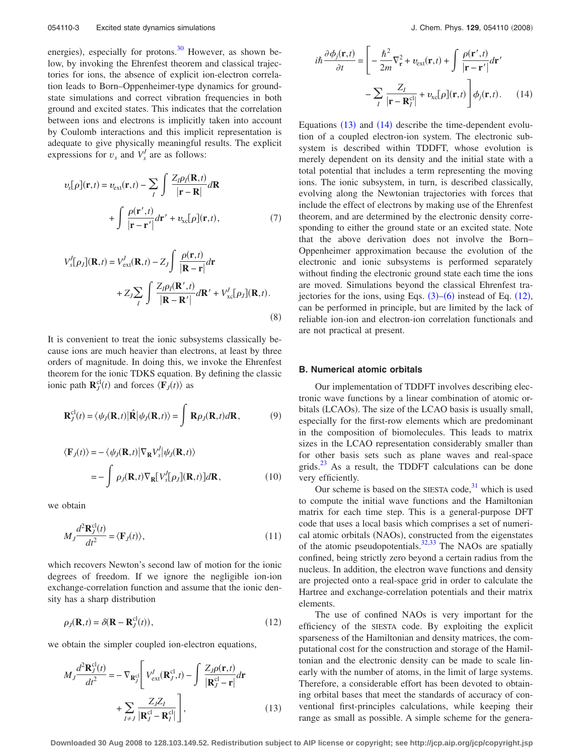energies), especially for protons.<sup>30</sup> However, as shown below, by invoking the Ehrenfest theorem and classical trajectories for ions, the absence of explicit ion-electron correlation leads to Born–Oppenheimer-type dynamics for groundstate simulations and correct vibration frequencies in both ground and excited states. This indicates that the correlation between ions and electrons is implicitly taken into account by Coulomb interactions and this implicit representation is adequate to give physically meaningful results. The explicit expressions for  $v_s$  and  $V_s^J$  are as follows:

$$
v_{s}[\rho](\mathbf{r},t) = v_{\text{ext}}(\mathbf{r},t) - \sum_{I} \int \frac{Z_{I}\rho_{I}(\mathbf{R},t)}{|\mathbf{r} - \mathbf{R}|}d\mathbf{R}
$$

$$
+ \int \frac{\rho(\mathbf{r}',t)}{|\mathbf{r} - \mathbf{r}'|}d\mathbf{r}' + v_{\text{xc}}[\rho](\mathbf{r},t), \qquad (7)
$$

$$
V_s^J[\rho_J](\mathbf{R},t) = V_{\text{ext}}^J(\mathbf{R},t) - Z_J \int \frac{\rho(\mathbf{r},t)}{|\mathbf{R} - \mathbf{r}|} d\mathbf{r} + Z_J \sum_I \int \frac{Z_I \rho_I(\mathbf{R}',t)}{|\mathbf{R} - \mathbf{R}'|} d\mathbf{R}' + V_{\text{xc}}^J[\rho_J](\mathbf{R},t).
$$
\n(8)

It is convenient to treat the ionic subsystems classically because ions are much heavier than electrons, at least by three orders of magnitude. In doing this, we invoke the Ehrenfest theorem for the ionic TDKS equation. By defining the classic ionic path  $\mathbf{R}_j^{\text{cl}}(t)$  and forces  $\langle \mathbf{F}_j(t) \rangle$  as

$$
\mathbf{R}_J^{\text{cl}}(t) = \langle \psi_J(\mathbf{R}, t) | \hat{\mathbf{R}} | \psi_J(\mathbf{R}, t) \rangle = \int \mathbf{R} \rho_J(\mathbf{R}, t) d\mathbf{R}, \tag{9}
$$

$$
\langle \mathbf{F}_J(t) \rangle = -\langle \psi_J(\mathbf{R}, t) | \nabla_{\mathbf{R}} V_s^J | \psi_J(\mathbf{R}, t) \rangle
$$
  
= 
$$
- \int \rho_J(\mathbf{R}, t) \nabla_{\mathbf{R}} [V_s^J[\rho_J](\mathbf{R}, t)] d\mathbf{R},
$$
 (10)

we obtain

$$
M_J \frac{d^2 \mathbf{R}_J^{cl}(t)}{dt^2} = \langle \mathbf{F}_J(t) \rangle, \tag{11}
$$

which recovers Newton's second law of motion for the ionic degrees of freedom. If we ignore the negligible ion-ion exchange-correlation function and assume that the ionic density has a sharp distribution

<span id="page-2-2"></span>
$$
\rho_J(\mathbf{R},t) = \delta(\mathbf{R} - \mathbf{R}_J^{\text{cl}}(t)),\tag{12}
$$

<span id="page-2-0"></span>we obtain the simpler coupled ion-electron equations,

$$
M_J \frac{d^2 \mathbf{R}_j^{cl}(t)}{dt^2} = -\nabla_{\mathbf{R}_j^{cl}} \left[ V_{\text{ext}}^J(\mathbf{R}_j^{cl}, t) - \int \frac{Z_J \rho(\mathbf{r}, t)}{|\mathbf{R}_J^{cl} - \mathbf{r}|} d\mathbf{r} + \sum_{I \neq J} \frac{Z_J Z_I}{|\mathbf{R}_j^{cl} - \mathbf{R}_I^{cl}|} \right],
$$
(13)

<span id="page-2-1"></span>
$$
i\hbar \frac{\partial \phi_j(\mathbf{r},t)}{\partial t} = \left[ -\frac{\hbar^2}{2m} \nabla_{\mathbf{r}}^2 + v_{\text{ext}}(\mathbf{r},t) + \int \frac{\rho(\mathbf{r}',t)}{|\mathbf{r} - \mathbf{r}'|} d\mathbf{r}' - \sum_{I} \frac{Z_I}{|\mathbf{r} - \mathbf{R}_I^{cl}|} + v_{\text{xc}}[\rho](\mathbf{r},t) \right] \phi_j(\mathbf{r},t).
$$
 (14)

Equations  $(13)$  $(13)$  $(13)$  and  $(14)$  $(14)$  $(14)$  describe the time-dependent evolution of a coupled electron-ion system. The electronic subsystem is described within TDDFT, whose evolution is merely dependent on its density and the initial state with a total potential that includes a term representing the moving ions. The ionic subsystem, in turn, is described classically, evolving along the Newtonian trajectories with forces that include the effect of electrons by making use of the Ehrenfest theorem, and are determined by the electronic density corresponding to either the ground state or an excited state. Note that the above derivation does not involve the Born– Oppenheimer approximation because the evolution of the electronic and ionic subsystems is performed separately without finding the electronic ground state each time the ions are moved. Simulations beyond the classical Ehrenfest trajectories for the ions, using Eqs.  $(3)$  $(3)$  $(3)$ – $(6)$  $(6)$  $(6)$  instead of Eq.  $(12)$  $(12)$  $(12)$ , can be performed in principle, but are limited by the lack of reliable ion-ion and electron-ion correlation functionals and are not practical at present.

#### **B. Numerical atomic orbitals**

Our implementation of TDDFT involves describing electronic wave functions by a linear combination of atomic orbitals (LCAOs). The size of the LCAO basis is usually small, especially for the first-row elements which are predominant in the composition of biomolecules. This leads to matrix sizes in the LCAO representation considerably smaller than for other basis sets such as plane waves and real-space grids. $^{23}$  As a result, the TDDFT calculations can be done very efficiently.

Our scheme is based on the SIESTA code, $31$  which is used to compute the initial wave functions and the Hamiltonian matrix for each time step. This is a general-purpose DFT code that uses a local basis which comprises a set of numerical atomic orbitals (NAOs), constructed from the eigenstates of the atomic pseudopotentials. $32,33$  $32,33$  The NAOs are spatially confined, being strictly zero beyond a certain radius from the nucleus. In addition, the electron wave functions and density are projected onto a real-space grid in order to calculate the Hartree and exchange-correlation potentials and their matrix elements.

The use of confined NAOs is very important for the efficiency of the SIESTA code. By exploiting the explicit sparseness of the Hamiltonian and density matrices, the computational cost for the construction and storage of the Hamiltonian and the electronic density can be made to scale linearly with the number of atoms, in the limit of large systems. Therefore, a considerable effort has been devoted to obtaining orbital bases that meet the standards of accuracy of conventional first-principles calculations, while keeping their range as small as possible. A simple scheme for the genera-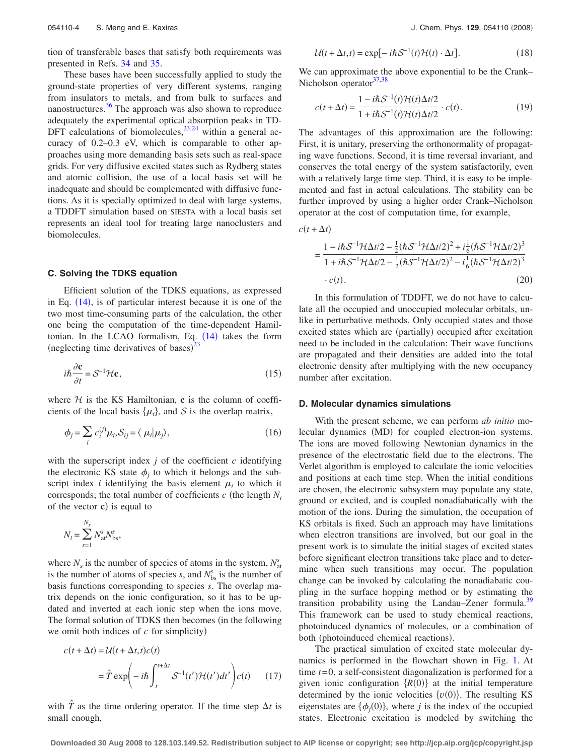tion of transferable bases that satisfy both requirements was presented in Refs. [34](#page-10-29) and [35.](#page-10-30)

These bases have been successfully applied to study the ground-state properties of very different systems, ranging from insulators to metals, and from bulk to surfaces and nanostructures. $36$  The approach was also shown to reproduce adequately the experimental optical absorption peaks in TD-DFT calculations of biomolecules,  $23,24$  $23,24$  within a general accuracy of 0.2–0.3 eV, which is comparable to other approaches using more demanding basis sets such as real-space grids. For very diffusive excited states such as Rydberg states and atomic collision, the use of a local basis set will be inadequate and should be complemented with diffusive functions. As it is specially optimized to deal with large systems, a TDDFT simulation based on SIESTA with a local basis set represents an ideal tool for treating large nanoclusters and biomolecules.

#### **C. Solving the TDKS equation**

Efficient solution of the TDKS equations, as expressed in Eq.  $(14)$  $(14)$  $(14)$ , is of particular interest because it is one of the two most time-consuming parts of the calculation, the other one being the computation of the time-dependent Hamiltonian. In the LCAO formalism, Eq.  $(14)$  $(14)$  $(14)$  takes the form (neglecting time derivatives of bases) $^{23}$  $^{23}$  $^{23}$ 

$$
i\hbar \frac{\partial \mathbf{c}}{\partial t} = \mathcal{S}^{-1} \mathcal{H} \mathbf{c},\tag{15}
$$

where  $H$  is the KS Hamiltonian, **c** is the column of coefficients of the local basis  $\{\mu_i\}$ , and S is the overlap matrix,

$$
\phi_j = \sum_i c_i^{(j)} \mu_i, S_{ij} = \langle \mu_i | \mu_j \rangle,
$$
\n(16)

with the superscript index  $j$  of the coefficient  $c$  identifying the electronic KS state  $\phi_i$  to which it belongs and the subscript index *i* identifying the basis element  $\mu_i$  to which it corresponds; the total number of coefficients  $c$  (the length  $N_t$ of the vector **c**) is equal to

$$
N_t = \sum_{s=1}^{N_s} N_{\text{at}}^s N_{\text{bs}}^s,
$$

where  $N_s$  is the number of species of atoms in the system,  $N_{\text{at}}^s$ is the number of atoms of species  $s$ , and  $N_{\text{bs}}^s$  is the number of basis functions corresponding to species *s*. The overlap matrix depends on the ionic configuration, so it has to be updated and inverted at each ionic step when the ions move. The formal solution of TDKS then becomes (in the following we omit both indices of  $c$  for simplicity)

$$
c(t + \Delta t) = \mathcal{U}(t + \Delta t, t)c(t)
$$
  
=  $\hat{T} \exp\left(-i\hbar \int_{t}^{t + \Delta t} \mathcal{S}^{-1}(t') \mathcal{H}(t') dt'\right) c(t)$  (17)

with  $\hat{T}$  as the time ordering operator. If the time step  $\Delta t$  is small enough,

$$
U(t + \Delta t, t) = \exp[-i\hbar S^{-1}(t)\mathcal{H}(t) \cdot \Delta t].
$$
 (18)

We can approximate the above exponential to be the Crank– Nicholson operator $37,38$  $37,38$ 

$$
c(t + \Delta t) = \frac{1 - i\hbar \mathcal{S}^{-1}(t)\mathcal{H}(t)\Delta t/2}{1 + i\hbar \mathcal{S}^{-1}(t)\mathcal{H}(t)\Delta t/2} \cdot c(t).
$$
 (19)

The advantages of this approximation are the following: First, it is unitary, preserving the orthonormality of propagating wave functions. Second, it is time reversal invariant, and conserves the total energy of the system satisfactorily, even with a relatively large time step. Third, it is easy to be implemented and fast in actual calculations. The stability can be further improved by using a higher order Crank–Nicholson operator at the cost of computation time, for example,

 $c(t + \Delta t)$ 

$$
= \frac{1 - i\hbar \mathcal{S}^{-1} \mathcal{H} \Delta t/2 - \frac{1}{2} (\hbar \mathcal{S}^{-1} \mathcal{H} \Delta t/2)^2 + i \frac{1}{6} (\hbar \mathcal{S}^{-1} \mathcal{H} \Delta t/2)^3}{1 + i\hbar \mathcal{S}^{-1} \mathcal{H} \Delta t/2 - \frac{1}{2} (\hbar \mathcal{S}^{-1} \mathcal{H} \Delta t/2)^2 - i \frac{1}{6} (\hbar \mathcal{S}^{-1} \mathcal{H} \Delta t/2)^3} \cdot c(t). \tag{20}
$$

In this formulation of TDDFT, we do not have to calculate all the occupied and unoccupied molecular orbitals, unlike in perturbative methods. Only occupied states and those excited states which are (partially) occupied after excitation need to be included in the calculation: Their wave functions are propagated and their densities are added into the total electronic density after multiplying with the new occupancy number after excitation.

# **D. Molecular dynamics simulations**

With the present scheme, we can perform *ab initio* molecular dynamics (MD) for coupled electron-ion systems. The ions are moved following Newtonian dynamics in the presence of the electrostatic field due to the electrons. The Verlet algorithm is employed to calculate the ionic velocities and positions at each time step. When the initial conditions are chosen, the electronic subsystem may populate any state, ground or excited, and is coupled nonadiabatically with the motion of the ions. During the simulation, the occupation of KS orbitals is fixed. Such an approach may have limitations when electron transitions are involved, but our goal in the present work is to simulate the initial stages of excited states before significant electron transitions take place and to determine when such transitions may occur. The population change can be invoked by calculating the nonadiabatic coupling in the surface hopping method or by estimating the transition probability using the Landau–Zener formula.<sup>39</sup> This framework can be used to study chemical reactions, photoinduced dynamics of molecules, or a combination of both (photoinduced chemical reactions).

The practical simulation of excited state molecular dynamics is performed in the flowchart shown in Fig. [1.](#page-4-0) At time *t*= 0, a self-consistent diagonalization is performed for a given ionic configuration  $\{R(0)\}\$ at the initial temperature determined by the ionic velocities  $\{v(0)\}\)$ . The resulting KS eigenstates are  $\{\phi_j(0)\}\)$ , where *j* is the index of the occupied states. Electronic excitation is modeled by switching the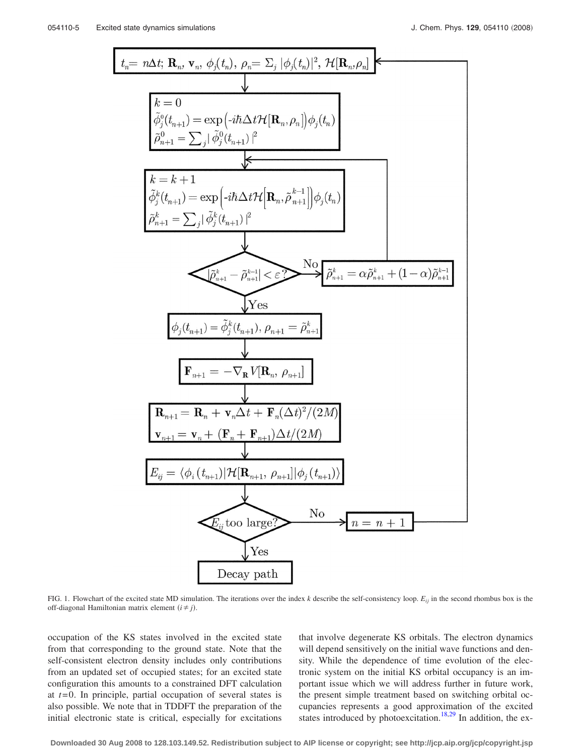<span id="page-4-0"></span>
$$
t_{n} = n\Delta t; \mathbf{R}_{n}, \mathbf{v}_{n}, \phi_{j}(t_{n}), \rho_{n} = \Sigma_{j} |\phi_{j}(t_{n})|^{2}, \mathcal{H}[\mathbf{R}_{n}, \rho_{n}]
$$
\n
$$
\frac{1}{k} = 0
$$
\n
$$
\phi_{j}^{0}(t_{n+1}) = \exp\left(-i\hbar\Delta t\mathcal{H}[\mathbf{R}_{n}, \rho_{n}]\right)\phi_{j}(t_{n})
$$
\n
$$
\rho_{n+1}^{0} = \sum_{j} |\phi_{j}^{0}(t_{n+1})|^{2}
$$
\n
$$
\frac{k=k+1}{\phi_{j}^{k}(t_{n+1}) = \exp\left(-i\hbar\Delta t\mathcal{H}[\mathbf{R}_{n}, \tilde{\rho}_{n+1}^{k-1}]\right)\phi_{j}(t_{n})}
$$
\n
$$
\rho_{n+1}^{k} = \sum_{j} |\phi_{j}^{k}(t_{n+1})|^{2}
$$
\n
$$
\frac{\sum_{k=1}^{k} |\phi_{k}^{k}(t_{n+1})|^{2}}{\sum_{k=1}^{k} |\phi_{k}^{k}(t_{n+1})|^{2}} = \frac{N_{0}}{\phi_{n+1}} \sum_{k=1}^{k} |\phi_{k}^{k}(t_{n+1})|^{2}
$$
\n
$$
\frac{\sum_{k=1}^{k} |\phi_{k}(t_{n+1})|^{2}}{\sum_{k=1}^{k} |\phi_{k}(t_{n+1})|^{2}} = \frac{N_{0}}{\phi_{n+1}} \sum_{k=1}^{k} |\phi_{k}(t_{n+1})|^{2}
$$
\n
$$
\frac{\sum_{k=1}^{k} |\phi_{k}(t_{n+1})|^{2}}{\sum_{k=1}^{k} |\phi_{k}(t_{n+1})|^{2}} = \frac{1}{\phi_{k}^{0}} \sum_{k=1}^{k} |\phi_{k}(t_{n+1})|^{2} \mathcal{H}[\mathbf{R}_{n+1}, \rho_{n+1}][\phi_{j}(t_{n+1})|^{2}}
$$
\n
$$
\frac{\sum_{k=1}^{k} |\phi_{k}(t_{n+1})|^{2}}{\sum_{k=1}^{k} |\phi_{k}(t_{n+1})|^{2}} = \frac{N_{0}}{N_{0}} = \frac{N_{0}}
$$

FIG. 1. Flowchart of the excited state MD simulation. The iterations over the index  $k$  describe the self-consistency loop.  $E_{ij}$  in the second rhombus box is the off-diagonal Hamiltonian matrix element  $(i \neq j)$ .

occupation of the KS states involved in the excited state from that corresponding to the ground state. Note that the self-consistent electron density includes only contributions from an updated set of occupied states; for an excited state configuration this amounts to a constrained DFT calculation at *t*= 0. In principle, partial occupation of several states is also possible. We note that in TDDFT the preparation of the initial electronic state is critical, especially for excitations that involve degenerate KS orbitals. The electron dynamics will depend sensitively on the initial wave functions and density. While the dependence of time evolution of the electronic system on the initial KS orbital occupancy is an important issue which we will address further in future work, the present simple treatment based on switching orbital occupancies represents a good approximation of the excited states introduced by photoexcitation.<sup>18[,29](#page-10-24)</sup> In addition, the ex-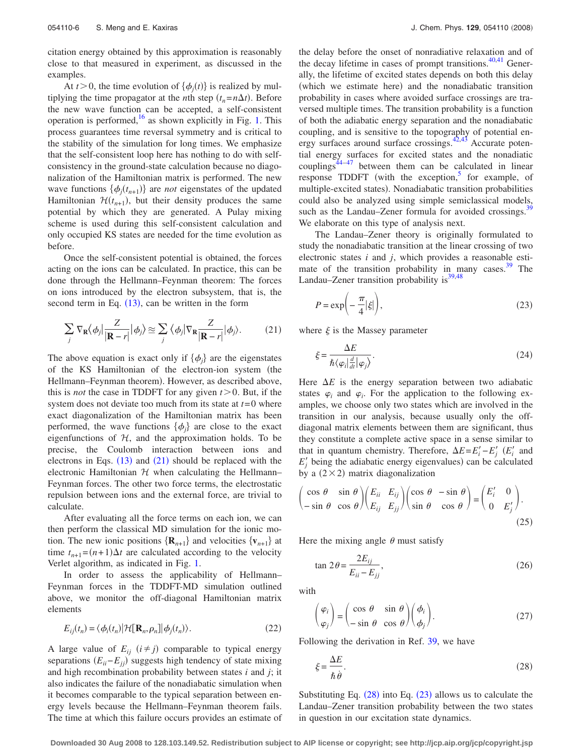citation energy obtained by this approximation is reasonably close to that measured in experiment, as discussed in the examples.

At *t* > 0, the time evolution of  $\{\phi_j(t)\}\$ is realized by multiplying the time propagator at the *n*th step  $(t_n = n\Delta t)$ . Before the new wave function can be accepted, a self-consistent operation is performed, $16$  as shown explicitly in Fig. [1.](#page-4-0) This process guarantees time reversal symmetry and is critical to the stability of the simulation for long times. We emphasize that the self-consistent loop here has nothing to do with selfconsistency in the ground-state calculation because no diagonalization of the Hamiltonian matrix is performed. The new wave functions  $\{\phi_j(t_{n+1})\}$  are *not* eigenstates of the updated Hamiltonian  $\mathcal{H}(t_{n+1})$ , but their density produces the same potential by which they are generated. A Pulay mixing scheme is used during this self-consistent calculation and only occupied KS states are needed for the time evolution as before.

Once the self-consistent potential is obtained, the forces acting on the ions can be calculated. In practice, this can be done through the Hellmann–Feynman theorem: The forces on ions introduced by the electron subsystem, that is, the second term in Eq.  $(13)$  $(13)$  $(13)$ , can be written in the form

<span id="page-5-0"></span>
$$
\sum_{j} \nabla_{\mathbf{R}} \langle \phi_{j} \vert \frac{Z}{|\mathbf{R} - r|} \vert \phi_{j} \rangle \approx \sum_{j} \langle \phi_{j} \vert \nabla_{\mathbf{R}} \frac{Z}{|\mathbf{R} - r|} \vert \phi_{j} \rangle. \tag{21}
$$

The above equation is exact only if  $\{\phi_i\}$  are the eigenstates of the KS Hamiltonian of the electron-ion system (the Hellmann-Feynman theorem). However, as described above, this is *not* the case in TDDFT for any given  $t > 0$ . But, if the system does not deviate too much from its state at  $t=0$  where exact diagonalization of the Hamiltonian matrix has been performed, the wave functions  $\{\phi_i\}$  are close to the exact eigenfunctions of  $H$ , and the approximation holds. To be precise, the Coulomb interaction between ions and electrons in Eqs.  $(13)$  $(13)$  $(13)$  and  $(21)$  $(21)$  $(21)$  should be replaced with the electronic Hamiltonian  $H$  when calculating the Hellmann– Feynman forces. The other two force terms, the electrostatic repulsion between ions and the external force, are trivial to calculate.

After evaluating all the force terms on each ion, we can then perform the classical MD simulation for the ionic motion. The new ionic positions  $\{R_{n+1}\}\$  and velocities  $\{v_{n+1}\}\$  at time  $t_{n+1} = (n+1)\Delta t$  are calculated according to the velocity Verlet algorithm, as indicated in Fig. [1.](#page-4-0)

In order to assess the applicability of Hellmann– Feynman forces in the TDDFT-MD simulation outlined above, we monitor the off-diagonal Hamiltonian matrix elements

<span id="page-5-3"></span>
$$
E_{ij}(t_n) = \langle \phi_i(t_n) | \mathcal{H}[\mathbf{R}_n, \rho_n] | \phi_j(t_n) \rangle.
$$
 (22)

A large value of  $E_{ij}$   $(i \neq j)$  comparable to typical energy separations  $(E_{ii} - E_{jj})$  suggests high tendency of state mixing and high recombination probability between states *i* and *j*; it also indicates the failure of the nonadiabatic simulation when it becomes comparable to the typical separation between energy levels because the Hellmann–Feynman theorem fails. The time at which this failure occurs provides an estimate of the delay before the onset of nonradiative relaxation and of the decay lifetime in cases of prompt transitions. $40,41$  $40,41$  Generally, the lifetime of excited states depends on both this delay (which we estimate here) and the nonadiabatic transition probability in cases where avoided surface crossings are traversed multiple times. The transition probability is a function of both the adiabatic energy separation and the nonadiabatic coupling, and is sensitive to the topography of potential en-ergy surfaces around surface crossings.<sup>42,[43](#page-11-5)</sup> Accurate potential energy surfaces for excited states and the nonadiatic couplings $44-47$  between them can be calculated in linear response TDDFT (with the exception, $5$  for example, of multiple-excited states). Nonadiabatic transition probabilities could also be analyzed using simple semiclassical models, such as the Landau–Zener formula for avoided crossings.<sup>3</sup> We elaborate on this type of analysis next.

The Landau–Zener theory is originally formulated to study the nonadiabatic transition at the linear crossing of two electronic states *i* and *j*, which provides a reasonable estimate of the transition probability in many cases. $39$  The Landau–Zener transition probability is $^{39,48}$  $^{39,48}$  $^{39,48}$ 

<span id="page-5-2"></span>
$$
P = \exp\left(-\frac{\pi}{4}|\xi|\right),\tag{23}
$$

where  $\xi$  is the Massey parameter

$$
\xi = \frac{\Delta E}{\hbar \langle \varphi_i | \frac{d}{dt} | \varphi_j \rangle}.
$$
\n(24)

Here  $\Delta E$  is the energy separation between two adiabatic states  $\varphi_i$  and  $\varphi_i$ . For the application to the following examples, we choose only two states which are involved in the transition in our analysis, because usually only the offdiagonal matrix elements between them are significant, thus they constitute a complete active space in a sense similar to that in quantum chemistry. Therefore,  $\Delta E = E_i' - E_j'$  ( $E_i'$  and  $E'_{j}$  being the adiabatic energy eigenvalues) can be calculated by a  $(2 \times 2)$  matrix diagonalization

$$
\begin{pmatrix}\n\cos \theta & \sin \theta \\
-\sin \theta & \cos \theta\n\end{pmatrix}\n\begin{pmatrix}\nE_{ii} & E_{ij} \\
E_{ij} & E_{jj}\n\end{pmatrix}\n\begin{pmatrix}\n\cos \theta & -\sin \theta \\
\sin \theta & \cos \theta\n\end{pmatrix}\n=\n\begin{pmatrix}\nE'_i & 0 \\
0 & E'_j\n\end{pmatrix}.
$$
\n(25)

<span id="page-5-4"></span>Here the mixing angle  $\theta$  must satisfy

$$
\tan 2\theta = \frac{2E_{ij}}{E_{ii} - E_{jj}},\tag{26}
$$

with

$$
\begin{pmatrix} \varphi_i \\ \varphi_j \end{pmatrix} = \begin{pmatrix} \cos \theta & \sin \theta \\ -\sin \theta & \cos \theta \end{pmatrix} \begin{pmatrix} \phi_i \\ \phi_j \end{pmatrix}.
$$
 (27)

<span id="page-5-1"></span>Following the derivation in Ref. [39,](#page-11-1) we have

$$
\xi = \frac{\Delta E}{\hbar \dot{\theta}}.\tag{28}
$$

Substituting Eq.  $(28)$  $(28)$  $(28)$  into Eq.  $(23)$  $(23)$  $(23)$  allows us to calculate the Landau–Zener transition probability between the two states in question in our excitation state dynamics.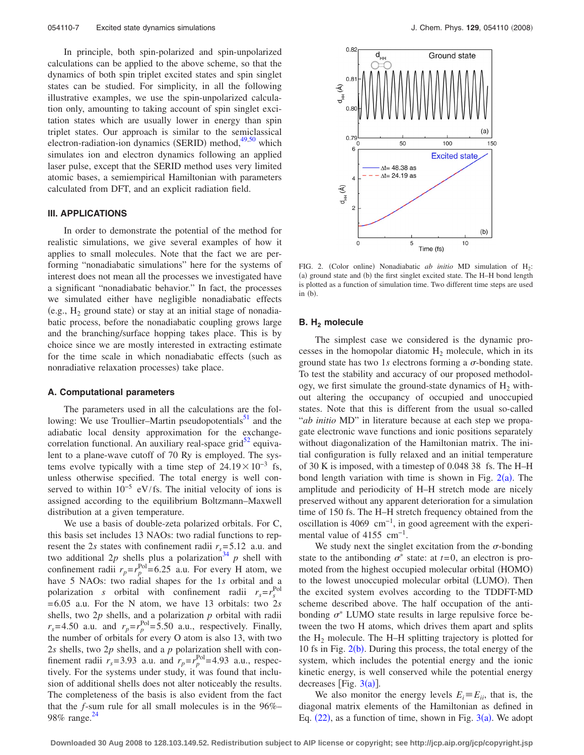In principle, both spin-polarized and spin-unpolarized calculations can be applied to the above scheme, so that the dynamics of both spin triplet excited states and spin singlet states can be studied. For simplicity, in all the following illustrative examples, we use the spin-unpolarized calculation only, amounting to taking account of spin singlet excitation states which are usually lower in energy than spin triplet states. Our approach is similar to the semiclassical electron-radiation-ion dynamics (SERID) method,<sup>49[,50](#page-11-10)</sup> which simulates ion and electron dynamics following an applied laser pulse, except that the SERID method uses very limited atomic bases, a semiempirical Hamiltonian with parameters calculated from DFT, and an explicit radiation field.

# **III. APPLICATIONS**

In order to demonstrate the potential of the method for realistic simulations, we give several examples of how it applies to small molecules. Note that the fact we are performing "nonadiabatic simulations" here for the systems of interest does not mean all the processes we investigated have a significant "nonadiabatic behavior." In fact, the processes we simulated either have negligible nonadiabatic effects (e.g.,  $H_2$  ground state) or stay at an initial stage of nonadiabatic process, before the nonadiabatic coupling grows large and the branching/surface hopping takes place. This is by choice since we are mostly interested in extracting estimate for the time scale in which nonadiabatic effects (such as nonradiative relaxation processes) take place.

# **A. Computational parameters**

The parameters used in all the calculations are the following: We use Troullier–Martin pseudopotentials $^{51}$  and the adiabatic local density approximation for the exchangecorrelation functional. An auxiliary real-space  $grid^{52}$  equivalent to a plane-wave cutoff of 70 Ry is employed. The systems evolve typically with a time step of  $24.19\times10^{-3}$  fs, unless otherwise specified. The total energy is well conserved to within  $10^{-5}$  eV/fs. The initial velocity of ions is assigned according to the equilibrium Boltzmann–Maxwell distribution at a given temperature.

We use a basis of double-zeta polarized orbitals. For C, this basis set includes 13 NAOs: two radial functions to represent the 2*s* states with confinement radii  $r_s = 5.12$  a.u. and two additional 2p shells plus a polarization<sup>34</sup> p shell with confinement radii  $r_p = r_p^{\text{Pol}} = 6.25$  a.u. For every H atom, we have 5 NAOs: two radial shapes for the 1*s* orbital and a polarization *s* orbital with confinement radii  $r_s = r_s^{\text{Pol}}$ = 6.05 a.u. For the N atom, we have 13 orbitals: two 2*s* shells, two 2*p* shells, and a polarization *p* orbital with radii  $r_s$ =4.50 a.u. and  $r_p = r_p^{\text{Pol}} = 5.50$  a.u., respectively. Finally, the number of orbitals for every O atom is also 13, with two 2*s* shells, two 2*p* shells, and a *p* polarization shell with confinement radii  $r_s = 3.93$  a.u. and  $r_p = r_p^{\text{Pol}} = 4.93$  a.u., respectively. For the systems under study, it was found that inclusion of additional shells does not alter noticeably the results. The completeness of the basis is also evident from the fact that the *f*-sum rule for all small molecules is in the 96%– 98% range.<sup>24</sup>

<span id="page-6-0"></span>

FIG. 2. (Color online) Nonadiabatic *ab initio* MD simulation of H<sub>2</sub>: (a) ground state and (b) the first singlet excited state. The H–H bond length is plotted as a function of simulation time. Two different time steps are used in  $(b)$ .

### **B.** H<sub>2</sub> molecule

The simplest case we considered is the dynamic processes in the homopolar diatomic  $H_2$  molecule, which in its ground state has two 1s electrons forming a  $\sigma$ -bonding state. To test the stability and accuracy of our proposed methodology, we first simulate the ground-state dynamics of  $H_2$  without altering the occupancy of occupied and unoccupied states. Note that this is different from the usual so-called "*ab initio* MD" in literature because at each step we propagate electronic wave functions and ionic positions separately without diagonalization of the Hamiltonian matrix. The initial configuration is fully relaxed and an initial temperature of 30 K is imposed, with a timestep of 0.048 38 fs. The H–H bond length variation with time is shown in Fig.  $2(a)$  $2(a)$ . The amplitude and periodicity of H–H stretch mode are nicely preserved without any apparent deterioration for a simulation time of 150 fs. The H–H stretch frequency obtained from the oscillation is 4069 cm−1, in good agreement with the experimental value of 4155 cm−1.

We study next the singlet excitation from the  $\sigma$ -bonding state to the antibonding  $\sigma^*$  state: at  $t=0$ , an electron is promoted from the highest occupied molecular orbital (HOMO) to the lowest unoccupied molecular orbital (LUMO). Then the excited system evolves according to the TDDFT-MD scheme described above. The half occupation of the antibonding  $\sigma^*$  LUMO state results in large repulsive force between the two H atoms, which drives them apart and splits the  $H_2$  molecule. The H–H splitting trajectory is plotted for 10 fs in Fig.  $2(b)$  $2(b)$ . During this process, the total energy of the system, which includes the potential energy and the ionic kinetic energy, is well conserved while the potential energy decreases [Fig.  $3(a)$  $3(a)$ ].

We also monitor the energy levels  $E_i \equiv E_{ii}$ , that is, the diagonal matrix elements of the Hamiltonian as defined in Eq.  $(22)$  $(22)$  $(22)$ , as a function of time, shown in Fig.  $3(a)$  $3(a)$ . We adopt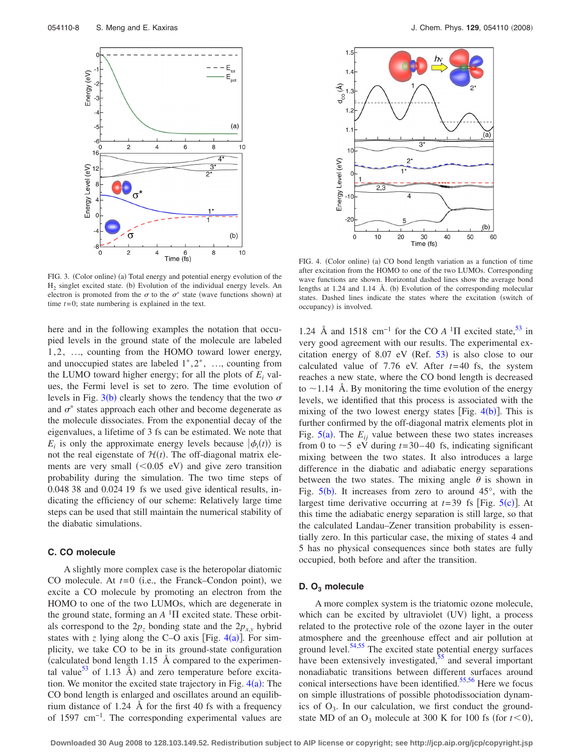<span id="page-7-0"></span>

FIG. 3. (Color online) (a) Total energy and potential energy evolution of the  $H_2$  singlet excited state. (b) Evolution of the individual energy levels. An electron is promoted from the  $\sigma$  to the  $\sigma^*$  state (wave functions shown) at time *t*= 0; state numbering is explained in the text.

here and in the following examples the notation that occupied levels in the ground state of the molecule are labeled 1,2, ..., counting from the HOMO toward lower energy, and unoccupied states are labeled  $1^*, 2^*, \ldots$ , counting from the LUMO toward higher energy; for all the plots of  $E_i$  values, the Fermi level is set to zero. The time evolution of levels in Fig.  $3(b)$  $3(b)$  clearly shows the tendency that the two  $\sigma$ and  $\sigma^*$  states approach each other and become degenerate as the molecule dissociates. From the exponential decay of the eigenvalues, a lifetime of 3 fs can be estimated. We note that  $E_i$  is only the approximate energy levels because  $|\phi_i(t)\rangle$  is not the real eigenstate of  $\mathcal{H}(t)$ . The off-diagonal matrix elements are very small  $(<0.05$  eV) and give zero transition probability during the simulation. The two time steps of 0.048 38 and 0.024 19 fs we used give identical results, indicating the efficiency of our scheme: Relatively large time steps can be used that still maintain the numerical stability of the diabatic simulations.

# **C. CO molecule**

A slightly more complex case is the heteropolar diatomic CO molecule. At  $t=0$  (i.e., the Franck–Condon point), we excite a CO molecule by promoting an electron from the HOMO to one of the two LUMOs, which are degenerate in the ground state, forming an  $A<sup>1</sup>\Pi$  excited state. These orbitals correspond to the  $2p_z$  bonding state and the  $2p_{xy}$  hybrid states with  $z$  lying along the C-O axis [Fig.  $4(a)$  $4(a)$ ]. For simplicity, we take CO to be in its ground-state configuration calculated bond length 1.15 Å compared to the experimental value<sup>53</sup> of 1.13  $\AA$ ) and zero temperature before excitation. We monitor the excited state trajectory in Fig.  $4(a)$  $4(a)$ : The CO bond length is enlarged and oscillates around an equilibrium distance of 1.24 Å for the first 40 fs with a frequency of 1597 cm−1. The corresponding experimental values are

<span id="page-7-1"></span>

FIG. 4. (Color online) (a) CO bond length variation as a function of time after excitation from the HOMO to one of the two LUMOs. Corresponding wave functions are shown. Horizontal dashed lines show the average bond lengths at  $1.24$  and  $1.14$  Å. (b) Evolution of the corresponding molecular states. Dashed lines indicate the states where the excitation (switch of occupancy) is involved.

1.24 Å and 1518 cm<sup>-1</sup> for the CO  $A$ <sup>1</sup> $\Pi$  excited state,<sup>53</sup> in very good agreement with our results. The experimental excitation energy of  $8.07$  eV (Ref. [53](#page-11-13)) is also close to our calculated value of 7.76 eV. After  $t=40$  fs, the system reaches a new state, where the CO bond length is decreased to  $\sim$  1.14 Å. By monitoring the time evolution of the energy levels, we identified that this process is associated with the mixing of the two lowest energy states [Fig.  $4(b)$  $4(b)$ ]. This is further confirmed by the off-diagonal matrix elements plot in Fig.  $5(a)$  $5(a)$ . The  $E_{ij}$  value between these two states increases from 0 to  $\sim$  5 eV during *t*=30–40 fs, indicating significant mixing between the two states. It also introduces a large difference in the diabatic and adiabatic energy separations between the two states. The mixing angle  $\theta$  is shown in Fig.  $5(b)$  $5(b)$ . It increases from zero to around 45°, with the largest time derivative occurring at  $t=39$  fs [Fig.  $5(c)$  $5(c)$ ]. At this time the adiabatic energy separation is still large, so that the calculated Landau–Zener transition probability is essentially zero. In this particular case, the mixing of states 4 and 5 has no physical consequences since both states are fully occupied, both before and after the transition.

# **D. O3 molecule**

A more complex system is the triatomic ozone molecule, which can be excited by ultraviolet (UV) light, a process related to the protective role of the ozone layer in the outer atmosphere and the greenhouse effect and air pollution at ground level. $54,55$  $54,55$  The excited state potential energy surfaces have been extensively investigated, $\frac{55}{2}$  and several important nonadiabatic transitions between different surfaces around conical intersections have been identified. $55,56$  $55,56$  Here we focus on simple illustrations of possible photodissociation dynamics of  $O_3$ . In our calculation, we first conduct the groundstate MD of an  $O_3$  molecule at 300 K for 100 fs (for  $t < 0$ ),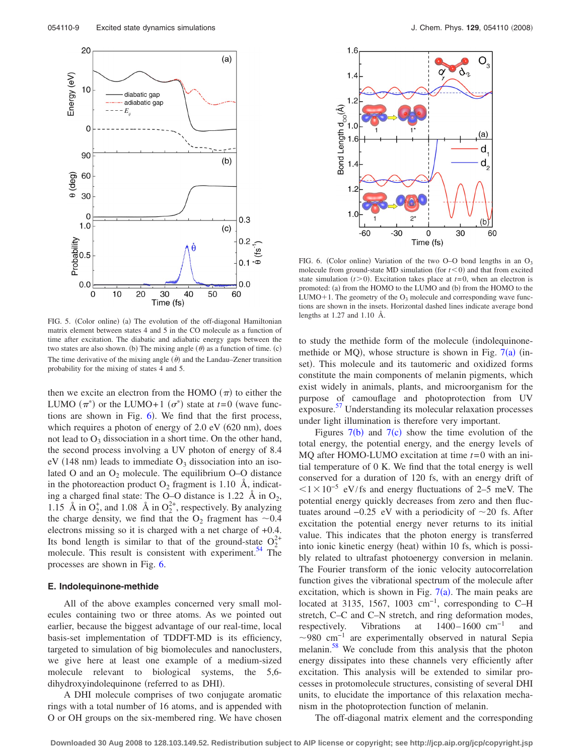<span id="page-8-0"></span>

<span id="page-8-1"></span>

FIG. 5. (Color online) (a) The evolution of the off-diagonal Hamiltonian<br>FIG. 5. (Color online) (a) The evolution of the off-diagonal Hamiltonian matrix element between states 4 and 5 in the CO molecule as a function of time after excitation. The diabatic and adiabatic energy gaps between the two states are also shown. (b) The mixing angle  $(\theta)$  as a function of time. (c) The time derivative of the mixing angle  $(\dot{\theta})$  and the Landau–Zener transition probability for the mixing of states 4 and 5.

then we excite an electron from the HOMO  $(\pi)$  to either the LUMO  $(\pi^*)$  or the LUMO+1  $(\sigma^*)$  state at *t*=0 (wave functions are shown in Fig.  $6$ ). We find that the first process, which requires a photon of energy of 2.0 eV (620 nm), does not lead to  $O_3$  dissociation in a short time. On the other hand, the second process involving a UV photon of energy of 8.4  $eV$  (148 nm) leads to immediate  $O_3$  dissociation into an isolated O and an  $O_2$  molecule. The equilibrium O–O distance in the photoreaction product  $O_2$  fragment is 1.10 Å, indicating a charged final state: The O–O distance is 1.22  $\AA$  in  $O_2$ , 1.15 Å in  $O_2^+$ , and 1.08 Å in  $O_2^{2+}$ , respectively. By analyzing the charge density, we find that the  $O_2$  fragment has  $\sim 0.4$ electrons missing so it is charged with a net charge of +0.4. Its bond length is similar to that of the ground-state  $O_2^{2+}$ molecule. This result is consistent with experiment.<sup>54</sup> The processes are shown in Fig. [6.](#page-8-1)

# **E. Indolequinone-methide**

All of the above examples concerned very small molecules containing two or three atoms. As we pointed out earlier, because the biggest advantage of our real-time, local basis-set implementation of TDDFT-MD is its efficiency, targeted to simulation of big biomolecules and nanoclusters, we give here at least one example of a medium-sized molecule relevant to biological systems, the 5,6 dihydroxyindolequinone (referred to as DHI).

A DHI molecule comprises of two conjugate aromatic rings with a total number of 16 atoms, and is appended with O or OH groups on the six-membered ring. We have chosen

FIG. 6. (Color online) Variation of the two O–O bond lengths in an  $O_3$ molecule from ground-state MD simulation (for  $t < 0$ ) and that from excited state simulation  $(t>0)$ . Excitation takes place at  $t=0$ , when an electron is promoted: (a) from the HOMO to the LUMO and (b) from the HOMO to the LUMO+1. The geometry of the  $O_3$  molecule and corresponding wave functions are shown in the insets. Horizontal dashed lines indicate average bond

to study the methide form of the molecule (indolequinonemethide or MQ), whose structure is shown in Fig.  $7(a)$  $7(a)$  (inset). This molecule and its tautomeric and oxidized forms constitute the main components of melanin pigments, which exist widely in animals, plants, and microorganism for the purpose of camouflage and photoprotection from UV exposure.<sup>[57](#page-11-17)</sup> Understanding its molecular relaxation processes under light illumination is therefore very important.

Figures  $7(b)$  $7(b)$  and  $7(c)$  show the time evolution of the total energy, the potential energy, and the energy levels of MQ after HOMO-LUMO excitation at time *t*= 0 with an initial temperature of 0 K. We find that the total energy is well conserved for a duration of 120 fs, with an energy drift of  $1\times10^{-5}$  eV/fs and energy fluctuations of 2–5 meV. The potential energy quickly decreases from zero and then fluctuates around  $-0.25$  eV with a periodicity of  $\sim$ 20 fs. After excitation the potential energy never returns to its initial value. This indicates that the photon energy is transferred into ionic kinetic energy (heat) within 10 fs, which is possibly related to ultrafast photoenergy conversion in melanin. The Fourier transform of the ionic velocity autocorrelation function gives the vibrational spectrum of the molecule after excitation, which is shown in Fig.  $7(a)$  $7(a)$ . The main peaks are located at 3135, 1567, 1003 cm<sup>-1</sup>, corresponding to C–H stretch, C–C and C–N stretch, and ring deformation modes, respectively. Vibrations at  $1400-1600$  cm<sup>-1</sup>  $\sim$ 980 cm<sup>-1</sup> are experimentally observed in natural Sepia melanin.<sup>58</sup> We conclude from this analysis that the photon energy dissipates into these channels very efficiently after excitation. This analysis will be extended to similar processes in protomolecule structures, consisting of several DHI units, to elucidate the importance of this relaxation mechanism in the photoprotection function of melanin.

The off-diagonal matrix element and the corresponding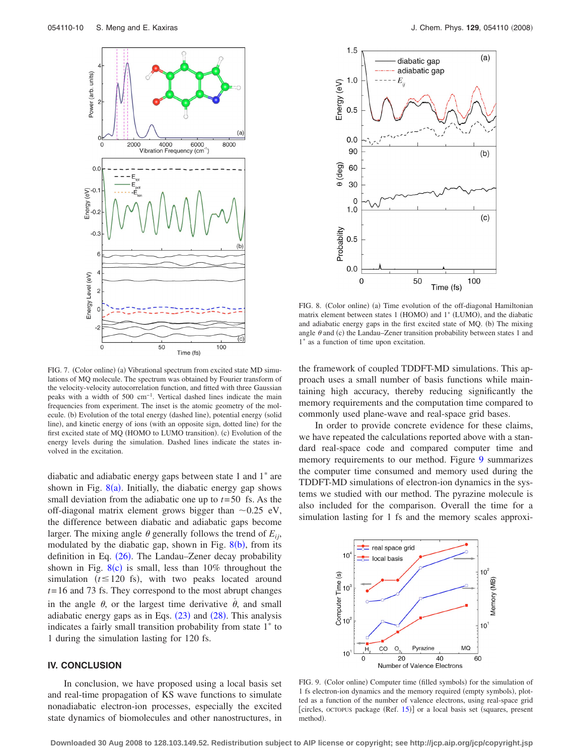<span id="page-9-0"></span>

FIG. 7. (Color online) (a) Vibrational spectrum from excited state MD simulations of MQ molecule. The spectrum was obtained by Fourier transform of the velocity-velocity autocorrelation function, and fitted with three Gaussian peaks with a width of 500 cm−1. Vertical dashed lines indicate the main frequencies from experiment. The inset is the atomic geometry of the molecule. (b) Evolution of the total energy (dashed line), potential energy (solid line), and kinetic energy of ions (with an opposite sign, dotted line) for the first excited state of MQ (HOMO to LUMO transition). (c) Evolution of the energy levels during the simulation. Dashed lines indicate the states involved in the excitation.

diabatic and adiabatic energy gaps between state 1 and  $1^*$  are shown in Fig.  $8(a)$  $8(a)$ . Initially, the diabatic energy gap shows small deviation from the adiabatic one up to *t*= 50 fs. As the off-diagonal matrix element grows bigger than  $\sim 0.25$  eV, the difference between diabatic and adiabatic gaps become larger. The mixing angle  $\theta$  generally follows the trend of  $E_{ii}$ , modulated by the diabatic gap, shown in Fig.  $8(b)$  $8(b)$ , from its definition in Eq. ([26](#page-5-4)). The Landau-Zener decay probability shown in Fig.  $8(c)$  $8(c)$  is small, less than 10% throughout the simulation  $(t \le 120 \text{ fs})$ , with two peaks located around *t*= 16 and 73 fs. They correspond to the most abrupt changes in the angle  $\theta$ , or the largest time derivative  $\dot{\theta}$ , and small adiabatic energy gaps as in Eqs.  $(23)$  $(23)$  $(23)$  and  $(28)$  $(28)$  $(28)$ . This analysis indicates a fairly small transition probability from state  $1^*$  to 1 during the simulation lasting for 120 fs.

# **IV. CONCLUSION**

In conclusion, we have proposed using a local basis set and real-time propagation of KS wave functions to simulate nonadiabatic electron-ion processes, especially the excited state dynamics of biomolecules and other nanostructures, in

<span id="page-9-1"></span>

FIG. 8. (Color online) (a) Time evolution of the off-diagonal Hamiltonian matrix element between states 1 (HOMO) and 1<sup>\*</sup> (LUMO), and the diabatic and adiabatic energy gaps in the first excited state of MQ. (b) The mixing angle  $\theta$  and (c) the Landau–Zener transition probability between states 1 and  $1^*$  as a function of time upon excitation.

the framework of coupled TDDFT-MD simulations. This approach uses a small number of basis functions while maintaining high accuracy, thereby reducing significantly the memory requirements and the computation time compared to commonly used plane-wave and real-space grid bases.

In order to provide concrete evidence for these claims, we have repeated the calculations reported above with a standard real-space code and compared computer time and memory requirements to our method. Figure [9](#page-9-2) summarizes the computer time consumed and memory used during the TDDFT-MD simulations of electron-ion dynamics in the systems we studied with our method. The pyrazine molecule is also included for the comparison. Overall the time for a simulation lasting for 1 fs and the memory scales approxi-

<span id="page-9-2"></span>

FIG. 9. (Color online) Computer time (filled symbols) for the simulation of 1 fs electron-ion dynamics and the memory required (empty symbols), plotted as a function of the number of valence electrons, using real-space grid [circles, octopus package (Ref. [15](#page-10-12))] or a local basis set (squares, present method).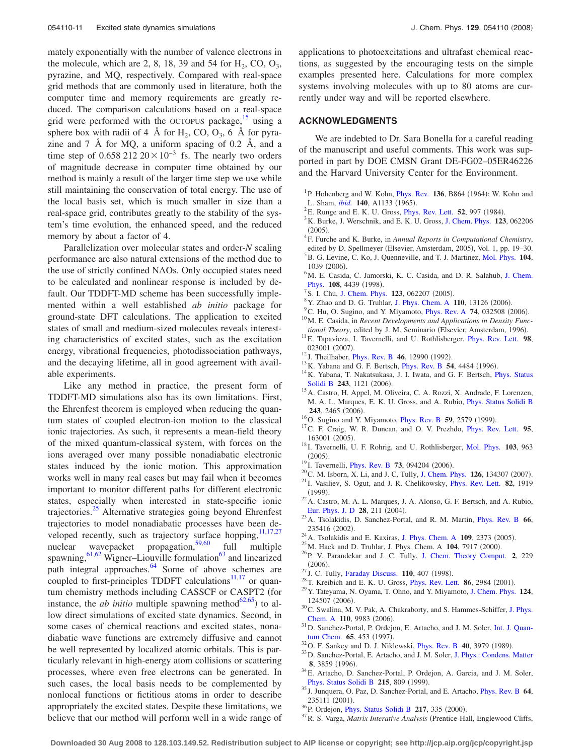mately exponentially with the number of valence electrons in the molecule, which are 2, 8, 18, 39 and 54 for  $H_2$ , CO, O<sub>3</sub>, pyrazine, and MQ, respectively. Compared with real-space grid methods that are commonly used in literature, both the computer time and memory requirements are greatly reduced. The comparison calculations based on a real-space grid were performed with the OCTOPUS package, $15$  using a sphere box with radii of 4 Å for  $H_2$ , CO, O<sub>3</sub>, 6 Å for pyrazine and  $7\;$  Å for MQ, a uniform spacing of 0.2 Å, and a time step of 0.658 212  $20 \times 10^{-3}$  fs. The nearly two orders of magnitude decrease in computer time obtained by our method is mainly a result of the larger time step we use while still maintaining the conservation of total energy. The use of the local basis set, which is much smaller in size than a real-space grid, contributes greatly to the stability of the system's time evolution, the enhanced speed, and the reduced memory by about a factor of 4.

Parallelization over molecular states and order-*N* scaling performance are also natural extensions of the method due to the use of strictly confined NAOs. Only occupied states need to be calculated and nonlinear response is included by default. Our TDDFT-MD scheme has been successfully implemented within a well established *ab initio* package for ground-state DFT calculations. The application to excited states of small and medium-sized molecules reveals interesting characteristics of excited states, such as the excitation energy, vibrational frequencies, photodissociation pathways, and the decaying lifetime, all in good agreement with available experiments.

Like any method in practice, the present form of TDDFT-MD simulations also has its own limitations. First, the Ehrenfest theorem is employed when reducing the quantum states of coupled electron-ion motion to the classical ionic trajectories. As such, it represents a mean-field theory of the mixed quantum-classical system, with forces on the ions averaged over many possible nonadiabatic electronic states induced by the ionic motion. This approximation works well in many real cases but may fail when it becomes important to monitor different paths for different electronic states, especially when interested in state-specific ionic trajectories.<sup>25</sup> Alternative strategies going beyond Ehrenfest trajectories to model nonadiabatic processes have been developed recently, such as trajectory surface hopping, $11,17,27$  $11,17,27$  $11,17,27$ nuclear wavepacket propagation,<sup>59[,60](#page-11-20)</sup> full multiple spawning,<sup>61,[62](#page-11-22)</sup> Wigner–Liouville formulation<sup>63</sup> and linearized path integral approaches. $64$  Some of above schemes are coupled to first-principles TDDFT calculations $11,17$  $11,17$  or quantum chemistry methods including CASSCF or CASPT2 (for instance, the *ab initio* multiple spawning method<sup>62[,65](#page-11-25)</sup>) to allow direct simulations of excited state dynamics. Second, in some cases of chemical reactions and excited states, nonadiabatic wave functions are extremely diffusive and cannot be well represented by localized atomic orbitals. This is particularly relevant in high-energy atom collisions or scattering processes, where even free electrons can be generated. In such cases, the local basis needs to be complemented by nonlocal functions or fictitious atoms in order to describe appropriately the excited states. Despite these limitations, we believe that our method will perform well in a wide range of applications to photoexcitations and ultrafast chemical reactions, as suggested by the encouraging tests on the simple examples presented here. Calculations for more complex systems involving molecules with up to 80 atoms are currently under way and will be reported elsewhere.

# **ACKNOWLEDGMENTS**

We are indebted to Dr. Sara Bonella for a careful reading of the manuscript and useful comments. This work was supported in part by DOE CMSN Grant DE-FG02–05ER46226 and the Harvard University Center for the Environment.

- <span id="page-10-0"></span><sup>1</sup>P. Hohenberg and W. Kohn, *[Phys. Rev.](http://dx.doi.org/10.1103/PhysRev.136.B864)* **136**, B864 (1964); W. Kohn and L. Sham, *[ibid.](http://dx.doi.org/10.1103/PhysRev.140.A1133)* **140**, A1133 (1965).
- <span id="page-10-1"></span><sup>2</sup>E. Runge and E. K. U. Gross, *[Phys. Rev. Lett.](http://dx.doi.org/10.1103/PhysRevLett.52.997)* **52**, 997 (1984).<br><sup>3</sup>K. Purke, J. Werschnik and E. K. U. Gross, J. Cham. Phys. 123
- <span id="page-10-2"></span><sup>3</sup>K. Burke, J. Werschnik, and E. K. U. Gross, [J. Chem. Phys.](http://dx.doi.org/10.1063/1.1904586) **123**, 062206  $(2005).$
- <span id="page-10-3"></span>F. Furche and K. Burke, in *Annual Reports in Computational Chemistry*,
- <span id="page-10-4"></span>edited by D. Spellmeyer (Elsevier, Amsterdam, 2005), Vol. 1, pp. 19–30.<br><sup>5</sup> B. G. Lavine, C. Ko. J. Quanaville, and T. J. Martinez, Mol. Phys. 104. B. G. Levine, C. Ko, J. Quenneville, and T. J. Martinez, [Mol. Phys.](http://dx.doi.org/10.1080/00268970500417762) **104**, 1039 (2006).
- <span id="page-10-5"></span>1039 (2006).<br><sup>6</sup>M. E. Casida, C. Jamorski, K. C. Casida, and D. R. Salahub, [J. Chem.](http://dx.doi.org/10.1063/1.475855) **[Phys.](http://dx.doi.org/10.1063/1.475855) 108**, 4439 (1998).
- S. I. Chu, [J. Chem. Phys.](http://dx.doi.org/10.1063/1.1904587)  $123$ , 062207 (2005).<sup>8</sup> V. Zhao and D. G. Trubler, J. Phys. Chem. A
- <sup>8</sup> Y. Zhao and D. G. Truhlar, [J. Phys. Chem. A](http://dx.doi.org/10.1021/jp066479k) 110, 13126 (2006).
- <span id="page-10-7"></span><span id="page-10-6"></span> $C^{\prime}$ C. Hu, O. Sugino, and Y. Miyamoto, *[Phys. Rev. A](http://dx.doi.org/10.1103/PhysRevA.74.032508)* **74**, 032508 (2006). <sup>10</sup> M. E. Casida, in *Recent Developments and Applications in Density Func-*
- <span id="page-10-8"></span>*tional Theory*, edited by J. M. Seminario (Elsevier, Amsterdam, 1996). . 11E. Tapavicza, I. Tavernelli, and U. Rothlisberger, [Phys. Rev. Lett.](http://dx.doi.org/10.1103/PhysRevLett.98.023001) **<sup>98</sup>**, 023001 (2007).
- <span id="page-10-9"></span><sup>12</sup> J. Theilhaber, *[Phys. Rev. B](http://dx.doi.org/10.1103/PhysRevB.46.12990)* 46, 12990 (1992).
- <span id="page-10-10"></span><sup>13</sup> K. Yabana and G. F. Bertsch, *[Phys. Rev. B](http://dx.doi.org/10.1103/PhysRevB.54.4484)* 54, 4484 (1996).
- <span id="page-10-11"></span><sup>14</sup> K. Yabana, T. Nakatsukasa, J. I. Iwata, and G. F. Bertsch, *[Phys. Status](http://dx.doi.org/10.1002/pssb.200642005)* [Solidi B](http://dx.doi.org/10.1002/pssb.200642005) 243, 1121 (2006).
- <span id="page-10-12"></span><sup>15</sup>A. Castro, H. Appel, M. Oliveira, C. A. Rozzi, X. Andrade, F. Lorenzen, M. A. L. Marques, E. K. U. Gross, and A. Rubio, [Phys. Status Solidi B](http://dx.doi.org/10.1002/pssb.200642067) **243**, 2465 (2006).
- <span id="page-10-13"></span><sup>16</sup>O. Sugino and Y. Miyamoto, *[Phys. Rev. B](http://dx.doi.org/10.1103/PhysRevB.59.2579)* 59, 2579 (1999).
- <span id="page-10-34"></span><sup>17</sup>C. F. Craig, W. R. Duncan, and O. V. Prezhdo, *[Phys. Rev. Lett.](http://dx.doi.org/10.1103/PhysRevLett.95.163001)* 95, 163001 (2005).
- <span id="page-10-33"></span><sup>18</sup> I. Tavernelli, U. F. Rohrig, and U. Rothlisberger, [Mol. Phys.](http://dx.doi.org/10.1080/00268970512331339378) **103**, 963  $(2005).$
- <span id="page-10-14"></span><sup>19</sup> I. Tavernelli, *[Phys. Rev. B](http://dx.doi.org/10.1103/PhysRevB.73.094204)* 73, 094204 (2006).
- <span id="page-10-15"></span><sup>20</sup> C. M. Isborn, X. Li, and J. C. Tully, [J. Chem. Phys.](http://dx.doi.org/10.1063/1.2713391) **126**, 134307 (2007).
- <span id="page-10-16"></span>. <sup>21</sup> I. Vasiliev, S. Ogut, and J. R. Chelikowsky, [Phys. Rev. Lett.](http://dx.doi.org/10.1103/PhysRevLett.82.1919) **<sup>82</sup>**, 1919  $(1999).$
- <span id="page-10-17"></span> $^{22}$ A. Castro, M. A. L. Marques, J. A. Alonso, G. F. Bertsch, and A. Rubio, [Eur. Phys. J. D](http://dx.doi.org/10.1140/epjd/e2003-00306-3) 28, 211 (2004).
- <span id="page-10-18"></span>. 23A. Tsolakidis, D. Sanchez-Portal, and R. M. Martin, [Phys. Rev. B](http://dx.doi.org/10.1103/PhysRevB.66.235416) **<sup>66</sup>**, 235416 (2002).
- 235416 (2002).<br><sup>24</sup> A. Tsolakidis and E. Kaxiras, [J. Phys. Chem. A](http://dx.doi.org/10.1021/jp044729w) **109**, 2373 (2005)
- <span id="page-10-19"></span><sup>24</sup> A. Tsolakidis and E. Kaxiras, J. Phys. Chem. A **109**, 2373 (2005).<br><sup>25</sup> M. Hack and D. Truhlar, J. Phys. Chem. A **104**, 7917 (2000).
- <span id="page-10-21"></span><span id="page-10-20"></span><sup>25</sup> M. Hack and D. Truhlar, J. Phys. Chem. A **104**, 7917 (2000).<br><sup>26</sup> P. V. Parandekar and J. C. Tully, [J. Chem. Theory Comput.](http://dx.doi.org/10.1021/ct050213k) **2**, 229  $(2006).$
- <span id="page-10-22"></span><sup>27</sup> J. C. Tully, [Faraday Discuss.](http://dx.doi.org/10.1039/a801824c) **110**, 407 (1998).
- <span id="page-10-23"></span><sup>28</sup> T. Kreibich and E. K. U. Gross, *[Phys. Rev. Lett.](http://dx.doi.org/10.1103/PhysRevLett.86.2984)* **86**, 2984 (2001).
- <span id="page-10-24"></span>. 29Y. Tateyama, N. Oyama, T. Ohno, and Y. Miyamoto, [J. Chem. Phys.](http://dx.doi.org/10.1063/1.2181139) **<sup>124</sup>**, 124507 (2006).
- <span id="page-10-25"></span>. 30C. Swalina, M. V. Pak, A. Chakraborty, and S. Hammes-Schiffer, [J. Phys.](http://dx.doi.org/10.1021/jp0634297) [Chem. A](http://dx.doi.org/10.1021/jp0634297) 110, 9983 (2006).
- <span id="page-10-26"></span><sup>31</sup>D. Sanchez-Portal, P. Ordejon, E. Artacho, and J. M. Soler, [Int. J. Quan](http://dx.doi.org/10.1002/(SICI)1097-461X(1997)65:5<453::AID-QUA9>3.0.CO;2-V)[tum Chem.](http://dx.doi.org/10.1002/(SICI)1097-461X(1997)65:5<453::AID-QUA9>3.0.CO;2-V) **65**, 453 (1997).
- <span id="page-10-27"></span><sup>32</sup> O. F. Sankey and D. J. Niklewski, *[Phys. Rev. B](http://dx.doi.org/10.1103/PhysRevB.40.3979)* **40**, 3979 (1989).
- <span id="page-10-28"></span><sup>33</sup>D. Sanchez-Portal, E. Artacho, and J. M. Soler, [J. Phys.: Condens. Matter](http://dx.doi.org/10.1088/0953-8984/8/21/012) **8**, 3859 (1996).
- <span id="page-10-29"></span><sup>34</sup>E. Artacho, D. Sanchez-Portal, P. Ordejon, A. Garcia, and J. M. Soler, [Phys. Status Solidi B](http://dx.doi.org/10.1002/(SICI)1521-3951(199909)215:1<809::AID-PSSB809>3.0.CO;2-0) 215, 809 (1999).
- <span id="page-10-30"></span>. <sup>35</sup> J. Junquera, O. Paz, D. Sanchez-Portal, and E. Artacho, [Phys. Rev. B](http://dx.doi.org/10.1103/PhysRevB.64.235111) **<sup>64</sup>**, 235111 (2001).
- <span id="page-10-31"></span><sup>36</sup> P. Ordejon, *[Phys. Status Solidi B](http://dx.doi.org/10.1002/(SICI)1521-3951(200001)217:1<335::AID-PSSB335>3.0.CO;2-Z)* 217, 335 (2000).
- <span id="page-10-32"></span><sup>37</sup> R. S. Varga, *Matrix Interative Analysis* (Prentice-Hall, Englewood Cliffs,